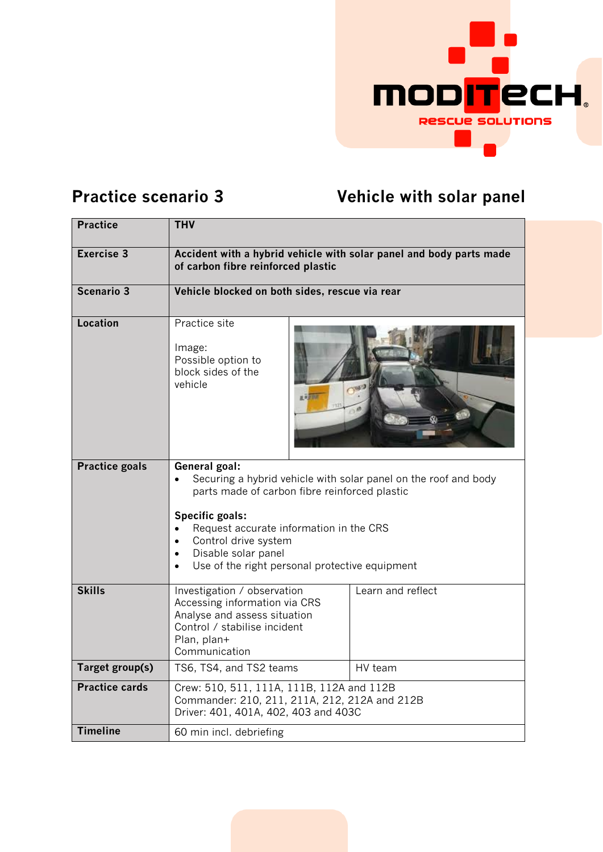

## **Practice scenario 3 Vehicle with solar panel**

| <b>Practice</b>       | <b>THV</b>                                                                                                                                                                                                                                                                                       |                   |
|-----------------------|--------------------------------------------------------------------------------------------------------------------------------------------------------------------------------------------------------------------------------------------------------------------------------------------------|-------------------|
| <b>Exercise 3</b>     | Accident with a hybrid vehicle with solar panel and body parts made<br>of carbon fibre reinforced plastic                                                                                                                                                                                        |                   |
| <b>Scenario 3</b>     | Vehicle blocked on both sides, rescue via rear                                                                                                                                                                                                                                                   |                   |
| <b>Location</b>       | Practice site<br>Image:<br>Possible option to<br>block sides of the<br>vehicle<br><b>REFIN</b>                                                                                                                                                                                                   |                   |
| <b>Practice goals</b> | General goal:<br>Securing a hybrid vehicle with solar panel on the roof and body<br>parts made of carbon fibre reinforced plastic<br>Specific goals:<br>Request accurate information in the CRS<br>Control drive system<br>Disable solar panel<br>Use of the right personal protective equipment |                   |
| <b>Skills</b>         | Investigation / observation<br>Accessing information via CRS<br>Analyse and assess situation<br>Control / stabilise incident<br>Plan, plan+<br>Communication                                                                                                                                     | Learn and reflect |
| Target group(s)       | TS6, TS4, and TS2 teams                                                                                                                                                                                                                                                                          | HV team           |
| <b>Practice cards</b> | Crew: 510, 511, 111A, 111B, 112A and 112B<br>Commander: 210, 211, 211A, 212, 212A and 212B<br>Driver: 401, 401A, 402, 403 and 403C                                                                                                                                                               |                   |
| <b>Timeline</b>       | 60 min incl. debriefing                                                                                                                                                                                                                                                                          |                   |